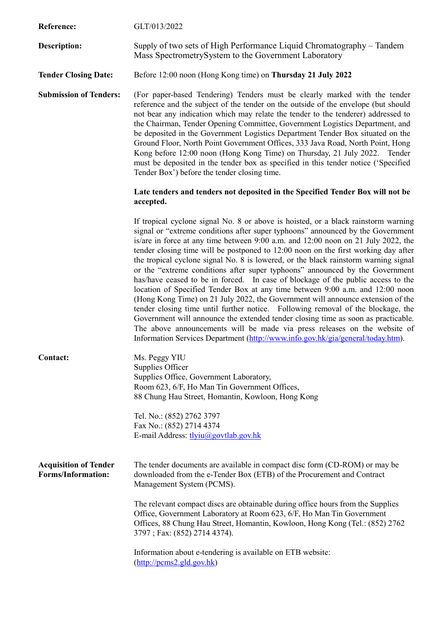| Reference:                                                | GLT/013/2022                                                                                                                                                                                                                                                                                                                                                                                                                                                                                                                                                                                                                                                                                                                                                                                                                                                                                                                                                                                                                                                                                                             |
|-----------------------------------------------------------|--------------------------------------------------------------------------------------------------------------------------------------------------------------------------------------------------------------------------------------------------------------------------------------------------------------------------------------------------------------------------------------------------------------------------------------------------------------------------------------------------------------------------------------------------------------------------------------------------------------------------------------------------------------------------------------------------------------------------------------------------------------------------------------------------------------------------------------------------------------------------------------------------------------------------------------------------------------------------------------------------------------------------------------------------------------------------------------------------------------------------|
| <b>Description:</b>                                       | Supply of two sets of High Performance Liquid Chromatography – Tandem<br>Mass SpectrometrySystem to the Government Laboratory                                                                                                                                                                                                                                                                                                                                                                                                                                                                                                                                                                                                                                                                                                                                                                                                                                                                                                                                                                                            |
| <b>Tender Closing Date:</b>                               | Before 12:00 noon (Hong Kong time) on Thursday 21 July 2022                                                                                                                                                                                                                                                                                                                                                                                                                                                                                                                                                                                                                                                                                                                                                                                                                                                                                                                                                                                                                                                              |
| <b>Submission of Tenders:</b>                             | (For paper-based Tendering) Tenders must be clearly marked with the tender<br>reference and the subject of the tender on the outside of the envelope (but should<br>not bear any indication which may relate the tender to the tenderer) addressed to<br>the Chairman, Tender Opening Committee, Government Logistics Department, and<br>be deposited in the Government Logistics Department Tender Box situated on the<br>Ground Floor, North Point Government Offices, 333 Java Road, North Point, Hong<br>Kong before 12:00 noon (Hong Kong Time) on Thursday, 21 July 2022. Tender<br>must be deposited in the tender box as specified in this tender notice ('Specified<br>Tender Box') before the tender closing time.                                                                                                                                                                                                                                                                                                                                                                                             |
|                                                           | Late tenders and tenders not deposited in the Specified Tender Box will not be<br>accepted.                                                                                                                                                                                                                                                                                                                                                                                                                                                                                                                                                                                                                                                                                                                                                                                                                                                                                                                                                                                                                              |
|                                                           | If tropical cyclone signal No. 8 or above is hoisted, or a black rainstorm warning<br>signal or "extreme conditions after super typhoons" announced by the Government<br>is/are in force at any time between 9:00 a.m. and 12:00 noon on 21 July 2022, the<br>tender closing time will be postponed to 12:00 noon on the first working day after<br>the tropical cyclone signal No. 8 is lowered, or the black rainstorm warning signal<br>or the "extreme conditions after super typhoons" announced by the Government<br>has/have ceased to be in forced. In case of blockage of the public access to the<br>location of Specified Tender Box at any time between 9:00 a.m. and 12:00 noon<br>(Hong Kong Time) on 21 July 2022, the Government will announce extension of the<br>tender closing time until further notice. Following removal of the blockage, the<br>Government will announce the extended tender closing time as soon as practicable.<br>The above announcements will be made via press releases on the website of<br>Information Services Department (http://www.info.gov.hk/gia/general/today.htm). |
| <b>Contact:</b>                                           | Ms. Peggy YIU<br>Supplies Officer<br>Supplies Office, Government Laboratory,<br>Room 623, 6/F, Ho Man Tin Government Offices,<br>88 Chung Hau Street, Homantin, Kowloon, Hong Kong                                                                                                                                                                                                                                                                                                                                                                                                                                                                                                                                                                                                                                                                                                                                                                                                                                                                                                                                       |
|                                                           | Tel. No.: (852) 2762 3797<br>Fax No.: (852) 2714 4374<br>E-mail Address: tlyiu@govtlab.gov.hk                                                                                                                                                                                                                                                                                                                                                                                                                                                                                                                                                                                                                                                                                                                                                                                                                                                                                                                                                                                                                            |
| <b>Acquisition of Tender</b><br><b>Forms/Information:</b> | The tender documents are available in compact disc form (CD-ROM) or may be<br>downloaded from the e-Tender Box (ETB) of the Procurement and Contract<br>Management System (PCMS).                                                                                                                                                                                                                                                                                                                                                                                                                                                                                                                                                                                                                                                                                                                                                                                                                                                                                                                                        |
|                                                           | The relevant compact discs are obtainable during office hours from the Supplies<br>Office, Government Laboratory at Room 623, 6/F, Ho Man Tin Government<br>Offices, 88 Chung Hau Street, Homantin, Kowloon, Hong Kong (Tel.: (852) 2762<br>3797; Fax: (852) 2714 4374).                                                                                                                                                                                                                                                                                                                                                                                                                                                                                                                                                                                                                                                                                                                                                                                                                                                 |
|                                                           | Information about e-tendering is available on ETB website:<br>$(\frac{http://pcms2-gld.gov.hk})$                                                                                                                                                                                                                                                                                                                                                                                                                                                                                                                                                                                                                                                                                                                                                                                                                                                                                                                                                                                                                         |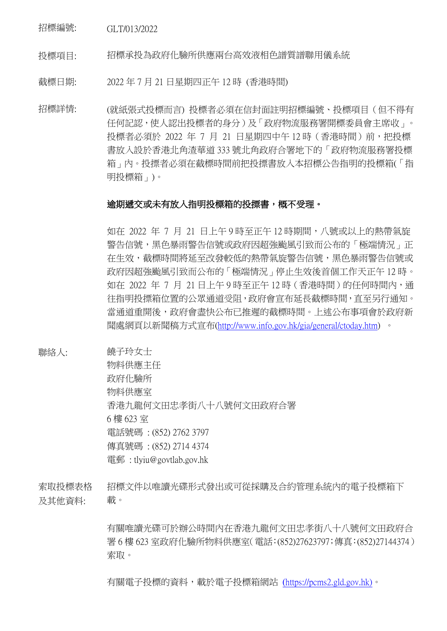招標編號: GLT/013/2022

投標項目: 招標承投為政府化驗所供應兩台高效液相色譜質譜聯用儀系統

截標日期: 2022 年 7 月 21 日星期四正午 12 時 (香港時間)

招標詳情: (就紙張式投標而言) 投標者必須在信封面註明招標編號、投標項目(但不得有 任何記認,使人認出投標者的身分)及「政府物流服務署開標委員會主席收」。 投標者必須於 2022 年 7 月 21 日星期四中午 12 時 (香港時間)前, 把投標 書放入設於香港北角渣華道 333 號北角政府合署地下的「政府物流服務署投標 箱」內。投摽者必須在截標時間前把投摽書放入本招標公告指明的投標箱(「指 明投標箱」)。

## 逾期遞交或未有放入指明投標箱的投摽書,概不受理。

如在 2022 年 7 月 21 日上午 9 時至正午 12 時期間,八號或以上的熱帶氣旋 警告信號,黑色暴雨警告信號或政府因超強颱風引致而公布的「極端情況」正 在生效,截標時間將延至改發較低的熱帶氣旋警告信號,黑色暴雨警告信號或 政府因超強颱風引致而公布的「極端情況」停止生效後首個工作天正午 12 時。 如在 2022 年 7 月 21 日上午 9 時至正午 12 時 (香港時間)的任何時間內,通 往指明投摽箱位置的公眾通道受阻,政府會宣布延長截標時間,直至另行通知。 當通道重開後,政府會盡快公布已推遲的截標時間。上述公布事項會於政府新 聞處網頁以新聞稿方式宣布[\(http://www.info.gov.hk/gia/general/ctoday.htm\)](http://www.info.gov.hk/gia/general/ctoday.htm) 。

聯絡人: 饒子玲女士

物料供應主任 政府化驗所 物料供應室 香港九龍何文田忠孝街八十八號何文田政府合署 6 樓 623 室 電話號碼 : (852) 2762 3797 傳真號碼 : (852) 2714 4374 電郵 : tlyiu@govtlab.gov.hk

索取投標表格 及其他資料: 招標文件以唯讀光碟形式發出或可從採購及合約管理系統內的電子投標箱下 載。

> 有關唯讀光碟可於辦公時間內在香港九龍何文田忠孝街八十八號何文田政府合 署 6 樓 623 室政府化驗所物料供應室(電話:(852)27623797;傳真:(852)27144374) 索取。

有關電子投標的資料,載於電子投標箱網站 (https://pcms2.gld.gov.hk)。